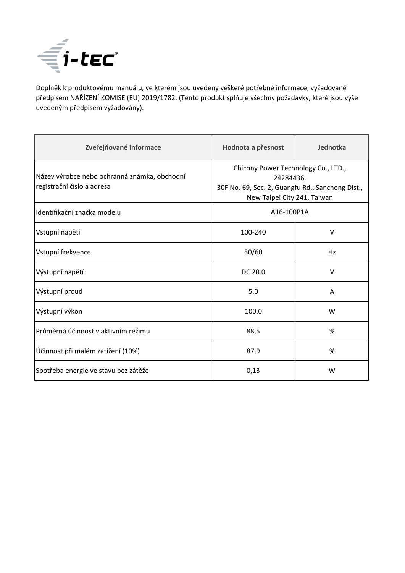

Doplněk k produktovému manuálu, ve kterém jsou uvedeny veškeré potřebné informace, vyžadované předpisem NAŘÍZENÍ KOMISE (EU) 2019/1782. (Tento produkt splňuje všechny požadavky, které jsou výše uvedeným předpisem vyžadovány).

| Zveřejňované informace                                                     | Hodnota a přesnost                                                                                                                  | Jednotka |
|----------------------------------------------------------------------------|-------------------------------------------------------------------------------------------------------------------------------------|----------|
| Název výrobce nebo ochranná známka, obchodní<br>registrační číslo a adresa | Chicony Power Technology Co., LTD.,<br>24284436,<br>30F No. 69, Sec. 2, Guangfu Rd., Sanchong Dist.,<br>New Taipei City 241, Taiwan |          |
| Identifikační značka modelu                                                | A16-100P1A                                                                                                                          |          |
| Vstupní napětí                                                             | 100-240                                                                                                                             | $\vee$   |
| Vstupní frekvence                                                          | 50/60                                                                                                                               | Hz       |
| Výstupní napětí                                                            | DC 20.0                                                                                                                             | $\vee$   |
| Výstupní proud                                                             | 5.0                                                                                                                                 | A        |
| Výstupní výkon                                                             | 100.0                                                                                                                               | W        |
| Průměrná účinnost v aktivním režimu                                        | 88,5                                                                                                                                | %        |
| Účinnost při malém zatížení (10%)                                          | 87,9                                                                                                                                | %        |
| Spotřeba energie ve stavu bez zátěže                                       | 0,13                                                                                                                                | W        |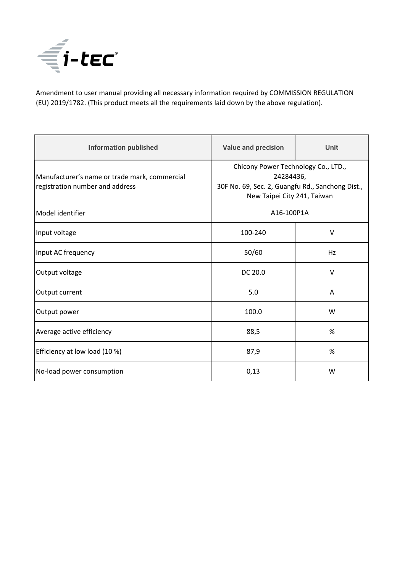

Amendment to user manual providing all necessary information required by COMMISSION REGULATION (EU) 2019/1782. (This product meets all the requirements laid down by the above regulation).

| <b>Information published</b>                                                     | <b>Value and precision</b>                                                                                                          | Unit   |
|----------------------------------------------------------------------------------|-------------------------------------------------------------------------------------------------------------------------------------|--------|
| Manufacturer's name or trade mark, commercial<br>registration number and address | Chicony Power Technology Co., LTD.,<br>24284436,<br>30F No. 69, Sec. 2, Guangfu Rd., Sanchong Dist.,<br>New Taipei City 241, Taiwan |        |
| Model identifier                                                                 | A16-100P1A                                                                                                                          |        |
| Input voltage                                                                    | 100-240                                                                                                                             | $\vee$ |
| Input AC frequency                                                               | 50/60                                                                                                                               | Hz     |
| Output voltage                                                                   | DC 20.0                                                                                                                             | $\vee$ |
| Output current                                                                   | 5.0                                                                                                                                 | A      |
| Output power                                                                     | 100.0                                                                                                                               | W      |
| Average active efficiency                                                        | 88,5                                                                                                                                | %      |
| Efficiency at low load (10 %)                                                    | 87,9                                                                                                                                | %      |
| No-load power consumption                                                        | 0,13                                                                                                                                | W      |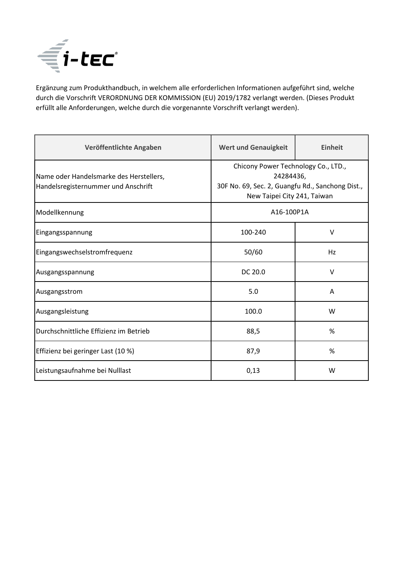

Ergänzung zum Produkthandbuch, in welchem alle erforderlichen Informationen aufgeführt sind, welche durch die Vorschrift VERORDNUNG DER KOMMISSION (EU) 2019/1782 verlangt werden. (Dieses Produkt erfüllt alle Anforderungen, welche durch die vorgenannte Vorschrift verlangt werden).

| Veröffentlichte Angaben                                                        | <b>Wert und Genauigkeit</b>                                                                                                         | <b>Einheit</b> |
|--------------------------------------------------------------------------------|-------------------------------------------------------------------------------------------------------------------------------------|----------------|
| Name oder Handelsmarke des Herstellers,<br>Handelsregisternummer und Anschrift | Chicony Power Technology Co., LTD.,<br>24284436,<br>30F No. 69, Sec. 2, Guangfu Rd., Sanchong Dist.,<br>New Taipei City 241, Taiwan |                |
| Modellkennung                                                                  | A16-100P1A                                                                                                                          |                |
| Eingangsspannung                                                               | 100-240                                                                                                                             | $\vee$         |
| Eingangswechselstromfrequenz                                                   | 50/60                                                                                                                               | Hz             |
| Ausgangsspannung                                                               | DC 20.0                                                                                                                             | $\vee$         |
| Ausgangsstrom                                                                  | 5.0                                                                                                                                 | A              |
| Ausgangsleistung                                                               | 100.0                                                                                                                               | W              |
| Durchschnittliche Effizienz im Betrieb                                         | 88,5                                                                                                                                | %              |
| Effizienz bei geringer Last (10 %)                                             | 87,9                                                                                                                                | %              |
| Leistungsaufnahme bei Nulllast                                                 | 0,13                                                                                                                                | W              |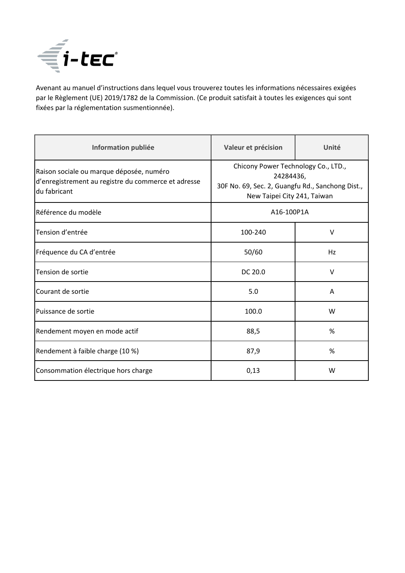

Avenant au manuel d'instructions dans lequel vous trouverez toutes les informations nécessaires exigées par le Règlement (UE) 2019/1782 de la Commission. (Ce produit satisfait à toutes les exigences qui sont fixées par la réglementation susmentionnée).

| Information publiée                                                                                             | Valeur et précision                                                                                                                 | Unité  |
|-----------------------------------------------------------------------------------------------------------------|-------------------------------------------------------------------------------------------------------------------------------------|--------|
| Raison sociale ou marque déposée, numéro<br>d'enregistrement au registre du commerce et adresse<br>du fabricant | Chicony Power Technology Co., LTD.,<br>24284436,<br>30F No. 69, Sec. 2, Guangfu Rd., Sanchong Dist.,<br>New Taipei City 241, Taiwan |        |
| Référence du modèle                                                                                             | A16-100P1A                                                                                                                          |        |
| Tension d'entrée                                                                                                | 100-240                                                                                                                             | $\vee$ |
| Fréquence du CA d'entrée                                                                                        | 50/60                                                                                                                               | Hz     |
| Tension de sortie                                                                                               | DC 20.0                                                                                                                             | $\vee$ |
| Courant de sortie                                                                                               | 5.0                                                                                                                                 | A      |
| Puissance de sortie                                                                                             | 100.0                                                                                                                               | W      |
| Rendement moyen en mode actif                                                                                   | 88,5                                                                                                                                | %      |
| Rendement à faible charge (10 %)                                                                                | 87,9                                                                                                                                | %      |
| Consommation électrique hors charge                                                                             | 0,13                                                                                                                                | W      |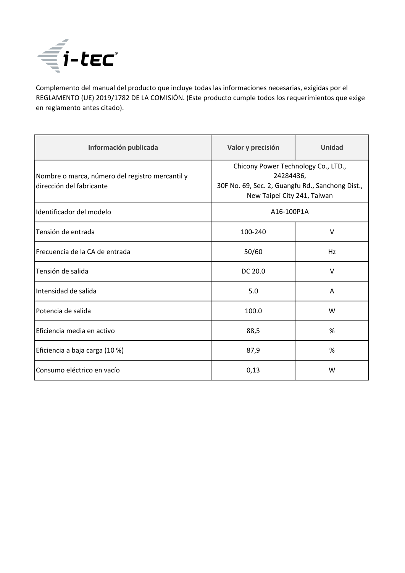

Complemento del manual del producto que incluye todas las informaciones necesarias, exigidas por el REGLAMENTO (UE) 2019/1782 DE LA COMISIÓN. (Este producto cumple todos los requerimientos que exige en reglamento antes citado).

| Información publicada                                                       | Valor y precisión                                                                                                                   | Unidad |
|-----------------------------------------------------------------------------|-------------------------------------------------------------------------------------------------------------------------------------|--------|
| Nombre o marca, número del registro mercantil y<br>dirección del fabricante | Chicony Power Technology Co., LTD.,<br>24284436,<br>30F No. 69, Sec. 2, Guangfu Rd., Sanchong Dist.,<br>New Taipei City 241, Taiwan |        |
| Identificador del modelo                                                    | A16-100P1A                                                                                                                          |        |
| Tensión de entrada                                                          | 100-240                                                                                                                             | $\vee$ |
| Frecuencia de la CA de entrada                                              | 50/60                                                                                                                               | Hz     |
| Tensión de salida                                                           | DC 20.0                                                                                                                             | $\vee$ |
| Intensidad de salida                                                        | 5.0                                                                                                                                 | A      |
| Potencia de salida                                                          | 100.0                                                                                                                               | W      |
| Eficiencia media en activo                                                  | 88,5                                                                                                                                | %      |
| Eficiencia a baja carga (10 %)                                              | 87,9                                                                                                                                | %      |
| Consumo eléctrico en vacío                                                  | 0,13                                                                                                                                | W      |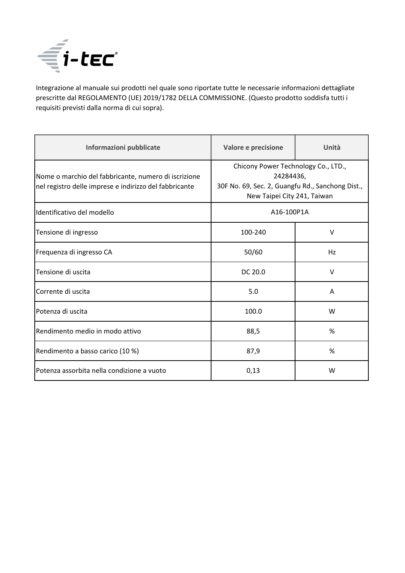

Integrazione al manuale sui prodotti nel quale sono riportate tutte le necessarie informazioni dettagliate prescritte dal REGOLAMENTO (UE) 2019/1782 DELLA COMMISSIONE. (Questo prodotto soddisfa tutti i requisiti previsti dalla norma di cui sopra).

| Informazioni pubblicate                                                                                        | Valore e precisione                                                                                                                 | Unità  |
|----------------------------------------------------------------------------------------------------------------|-------------------------------------------------------------------------------------------------------------------------------------|--------|
| Nome o marchio del fabbricante, numero di iscrizione<br>nel registro delle imprese e indirizzo del fabbricante | Chicony Power Technology Co., LTD.,<br>24284436,<br>30F No. 69, Sec. 2, Guangfu Rd., Sanchong Dist.,<br>New Taipei City 241, Taiwan |        |
| Identificativo del modello                                                                                     | A16-100P1A                                                                                                                          |        |
| Tensione di ingresso                                                                                           | 100-240                                                                                                                             | $\vee$ |
| Frequenza di ingresso CA                                                                                       | 50/60                                                                                                                               | Hz     |
| Tensione di uscita                                                                                             | DC 20.0                                                                                                                             | $\vee$ |
| Corrente di uscita                                                                                             | 5.0                                                                                                                                 | Α      |
| Potenza di uscita                                                                                              | 100.0                                                                                                                               | W      |
| Rendimento medio in modo attivo                                                                                | 88,5                                                                                                                                | %      |
| Rendimento a basso carico (10 %)                                                                               | 87,9                                                                                                                                | %      |
| Potenza assorbita nella condizione a vuoto                                                                     | 0,13                                                                                                                                | W      |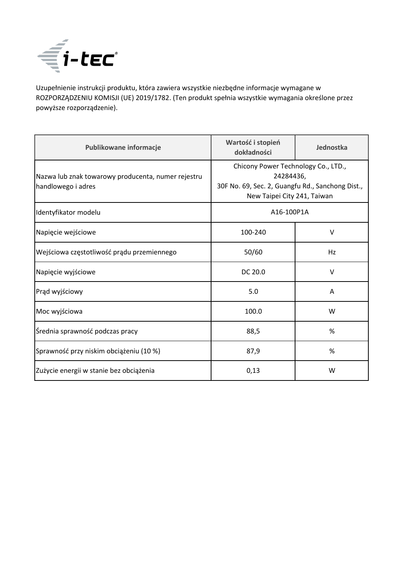

Uzupełnienie instrukcji produktu, która zawiera wszystkie niezbędne informacje wymagane w ROZPORZĄDZENIU KOMISJI (UE) 2019/1782. (Ten produkt spełnia wszystkie wymagania określone przez powyższe rozporządzenie).

| Publikowane informacje                                                   | Wartość i stopień<br>dokładności                                                                                                    | Jednostka |
|--------------------------------------------------------------------------|-------------------------------------------------------------------------------------------------------------------------------------|-----------|
| Nazwa lub znak towarowy producenta, numer rejestru<br>handlowego i adres | Chicony Power Technology Co., LTD.,<br>24284436,<br>30F No. 69, Sec. 2, Guangfu Rd., Sanchong Dist.,<br>New Taipei City 241, Taiwan |           |
| Identyfikator modelu                                                     | A16-100P1A                                                                                                                          |           |
| Napięcie wejściowe                                                       | 100-240                                                                                                                             | $\vee$    |
| Wejściowa częstotliwość prądu przemiennego                               | 50/60                                                                                                                               | Hz        |
| Napięcie wyjściowe                                                       | DC 20.0                                                                                                                             | $\vee$    |
| Prąd wyjściowy                                                           | 5.0                                                                                                                                 | A         |
| Moc wyjściowa                                                            | 100.0                                                                                                                               | W         |
| Średnia sprawność podczas pracy                                          | 88,5                                                                                                                                | %         |
| Sprawność przy niskim obciążeniu (10 %)                                  | 87,9                                                                                                                                | %         |
| Zużycie energii w stanie bez obciążenia                                  | 0,13                                                                                                                                | W         |